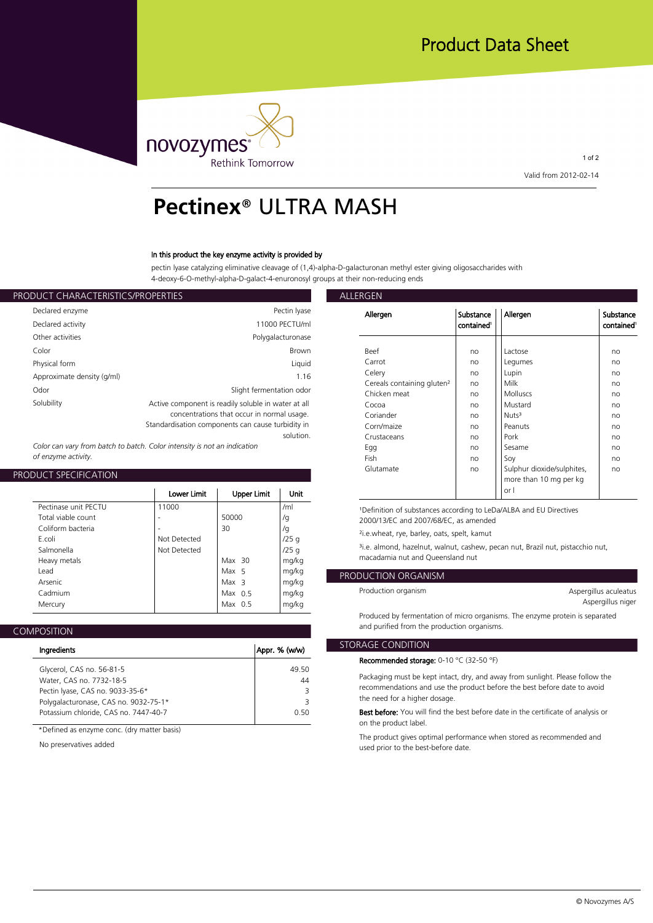

1 of 2 **Valid from 2012-02-14**

# **Pectinex**® ULTRA MASH

### **In this product the key enzyme activity is provided by**

**pectin lyase catalyzing eliminative cleavage of (1,4)-alpha-D-galacturonan methyl ester giving oligosaccharides with 4-deoxy-6-O-methyl-alpha-D-galact-4-enuronosyl groups at their non-reducing ends**

| ALLERGEN           |                                                     | PRODUCT CHARACTERISTICS/PROPERTIES |
|--------------------|-----------------------------------------------------|------------------------------------|
| Allergen           | Pectin Iyase                                        | Declared enzyme                    |
|                    | 11000 PECTU/ml                                      | Declared activity                  |
|                    | Polygalacturonase                                   | Other activities                   |
| <b>Beef</b>        | <b>Brown</b>                                        | Color                              |
| Carrot             | Liquid                                              | Physical form                      |
| Celery             | 1.16                                                | Approximate density (g/ml)         |
| Cereals<br>Chicken | Slight fermentation odor                            | Odor                               |
| Cocoa              | Active component is readily soluble in water at all | Solubility                         |
| Coriand            | concentrations that occur in normal usage.          |                                    |
| Corn/ma            | Standardisation components can cause turbidity in   |                                    |
| Crustace           | solution.                                           |                                    |

*Color can vary from batch to batch. Color intensity is not an indication of enzyme activity.*

## **PRODUCT SPECIFICATION**

|                                                                                                         | Lower Limit                           | Upper Limit                                         | Unit                                        | or l                                                                                                                                                                                                                                                                                 |
|---------------------------------------------------------------------------------------------------------|---------------------------------------|-----------------------------------------------------|---------------------------------------------|--------------------------------------------------------------------------------------------------------------------------------------------------------------------------------------------------------------------------------------------------------------------------------------|
| Pectinase unit PECTU<br>Total viable count<br>Coliform bacteria<br>F.coli<br>Salmonella<br>Heavy metals | 11000<br>Not Detected<br>Not Detected | 50000<br>30<br>Max $30$                             | /ml<br>/g<br>/g<br>$/25$ g<br>/25q<br>mg/kg | <sup>1</sup> Definition of substances according to LeDa/ALBA and EU<br>2000/13/EC and 2007/68/EC, as amended<br><sup>2</sup> i.e.wheat, rye, barley, oats, spelt, kamut<br><sup>3</sup> i.e. almond, hazelnut, walnut, cashew, pecan nut, Brazil<br>macadamia nut and Queensland nut |
| Lead<br>Arsenic<br>Cadmium<br>Mercury                                                                   |                                       | Max 5<br>Max <sub>3</sub><br>Max $0.5$<br>Max $0.5$ | mg/kg<br>mg/kg<br>mg/kg<br>mg/kg            | PRODUCTION ORGANISM<br>Production organism                                                                                                                                                                                                                                           |
|                                                                                                         |                                       |                                                     |                                             | David and the four contribution of actions concerted in The common                                                                                                                                                                                                                   |

| <b>COMPOSITION</b> |
|--------------------|
|--------------------|

| Ingredients                           | Appr. % (w/w) | <b>STORAGE C</b> |
|---------------------------------------|---------------|------------------|
|                                       |               | Recomme          |
| Glycerol, CAS no. 56-81-5             | 49.50         |                  |
| Water, CAS no. 7732-18-5              | 44            | Packagin         |
| Pectin Iyase, CAS no. 9033-35-6*      | 3             | recomme          |
| Polygalacturonase, CAS no. 9032-75-1* | 3             | the need         |
| Potassium chloride, CAS no. 7447-40-7 | 0.50          | <b>Best befo</b> |
|                                       |               |                  |

**\*Defined as enzyme conc. (dry matter basis)**

**No preservatives added**

| Allergen                               | Substance<br>contained <sup>1</sup> | Allergen                   | Substance<br>contained <sup>1</sup> |
|----------------------------------------|-------------------------------------|----------------------------|-------------------------------------|
|                                        |                                     |                            |                                     |
| Beef                                   | no                                  | Lactose                    | no                                  |
| Carrot                                 | no                                  | Legumes                    | no                                  |
| Celery                                 | no                                  | Lupin                      | no                                  |
| Cereals containing gluten <sup>2</sup> | no                                  | Milk                       | no                                  |
| Chicken meat                           | no                                  | <b>Molluscs</b>            | no                                  |
| Cocoa                                  | no                                  | Mustard                    | no                                  |
| Coriander                              | no                                  | Nuts <sup>3</sup>          | no                                  |
| Corn/maize                             | no                                  | Peanuts                    | no                                  |
| Crustaceans                            | no                                  | Pork                       | no                                  |
| Egg                                    | no                                  | Sesame                     | no                                  |
| Fish                                   | no                                  | Soy                        | no                                  |
| Glutamate                              | no                                  | Sulphur dioxide/sulphites, | no                                  |
|                                        |                                     | more than 10 mg per kg     |                                     |
|                                        |                                     | or I                       |                                     |

**¹Definition of substances according to LeDa/ALBA and EU Directives** 

**/g 2000/13/EC and 2007/68/EC, as amended**

**/25 g ³i.e. almond, hazelnut, walnut, cashew, pecan nut, Brazil nut, pistacchio nut, mg/kg macadamia nut and Queensland nut**

# **mg/kg PRODUCTION ORGANISM**

| Aspergillus aculeatus |  |
|-----------------------|--|
| Aspergillus niger     |  |

**Produced by fermentation of micro organisms. The enzyme protein is separated and purified from the production organisms.**

## **STORAGE CONDITION**

**Recommended storage: 0-10 °C (32-50 °F)**

**44 Packaging must be kept intact, dry, and away from sunlight. Please follow the 3 recommendations and use the product before the best before date to avoid 3 the need for a higher dosage.**

**0.50 Best before: You will find the best before date in the certificate of analysis or on the product label.**

> **The product gives optimal performance when stored as recommended and used prior to the best-before date.**